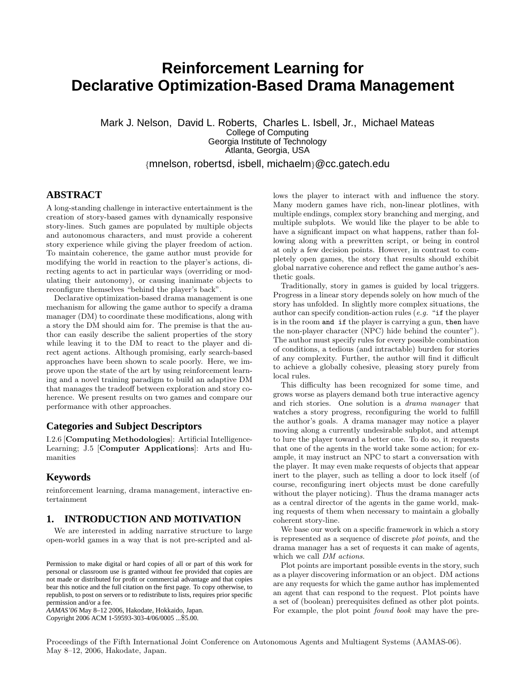# **Reinforcement Learning for Declarative Optimization-Based Drama Management**

Mark J. Nelson, David L. Roberts, Charles L. Isbell, Jr., Michael Mateas College of Computing Georgia Institute of Technology Atlanta, Georgia, USA {mnelson, robertsd, isbell, michaelm}@cc.gatech.edu

# **ABSTRACT**

A long-standing challenge in interactive entertainment is the creation of story-based games with dynamically responsive story-lines. Such games are populated by multiple objects and autonomous characters, and must provide a coherent story experience while giving the player freedom of action. To maintain coherence, the game author must provide for modifying the world in reaction to the player's actions, directing agents to act in particular ways (overriding or modulating their autonomy), or causing inanimate objects to reconfigure themselves "behind the player's back".

Declarative optimization-based drama management is one mechanism for allowing the game author to specify a drama manager (DM) to coordinate these modifications, along with a story the DM should aim for. The premise is that the author can easily describe the salient properties of the story while leaving it to the DM to react to the player and direct agent actions. Although promising, early search-based approaches have been shown to scale poorly. Here, we improve upon the state of the art by using reinforcement learning and a novel training paradigm to build an adaptive DM that manages the tradeoff between exploration and story coherence. We present results on two games and compare our performance with other approaches.

## **Categories and Subject Descriptors**

I.2.6 [Computing Methodologies]: Artificial Intelligence-Learning; J.5 [Computer Applications]: Arts and Humanities

## **Keywords**

reinforcement learning, drama management, interactive entertainment

#### **1. INTRODUCTION AND MOTIVATION**

We are interested in adding narrative structure to large open-world games in a way that is not pre-scripted and al-

Permission to make digital or hard copies of all or part of this work for personal or classroom use is granted without fee provided that copies are not made or distributed for profit or commercial advantage and that copies bear this notice and the full citation on the first page. To copy otherwise, to republish, to post on servers or to redistribute to lists, requires prior specific permission and/or a fee.

*AAMAS'06* May 8–12 2006, Hakodate, Hokkaido, Japan.

Copyright 2006 ACM 1-59593-303-4/06/0005 ...\$5.00.

lows the player to interact with and influence the story. Many modern games have rich, non-linear plotlines, with multiple endings, complex story branching and merging, and multiple subplots. We would like the player to be able to have a significant impact on what happens, rather than following along with a prewritten script, or being in control at only a few decision points. However, in contrast to completely open games, the story that results should exhibit global narrative coherence and reflect the game author's aesthetic goals.

Traditionally, story in games is guided by local triggers. Progress in a linear story depends solely on how much of the story has unfolded. In slightly more complex situations, the author can specify condition-action rules  $(e.g., "if the player")$ is in the room and if the player is carrying a gun, then have the non-player character (NPC) hide behind the counter"). The author must specify rules for every possible combination of conditions, a tedious (and intractable) burden for stories of any complexity. Further, the author will find it difficult to achieve a globally cohesive, pleasing story purely from local rules.

This difficulty has been recognized for some time, and grows worse as players demand both true interactive agency and rich stories. One solution is a drama manager that watches a story progress, reconfiguring the world to fulfill the author's goals. A drama manager may notice a player moving along a currently undesirable subplot, and attempt to lure the player toward a better one. To do so, it requests that one of the agents in the world take some action; for example, it may instruct an NPC to start a conversation with the player. It may even make requests of objects that appear inert to the player, such as telling a door to lock itself (of course, reconfiguring inert objects must be done carefully without the player noticing). Thus the drama manager acts as a central director of the agents in the game world, making requests of them when necessary to maintain a globally coherent story-line.

We base our work on a specific framework in which a story is represented as a sequence of discrete plot points, and the drama manager has a set of requests it can make of agents, which we call  $DM$  actions.

Plot points are important possible events in the story, such as a player discovering information or an object. DM actions are any requests for which the game author has implemented an agent that can respond to the request. Plot points have a set of (boolean) prerequisites defined as other plot points. For example, the plot point *found book* may have the pre-

Proceedings of the Fifth International Joint Conference on Autonomous Agents and Multiagent Systems (AAMAS-06). May 8–12, 2006, Hakodate, Japan.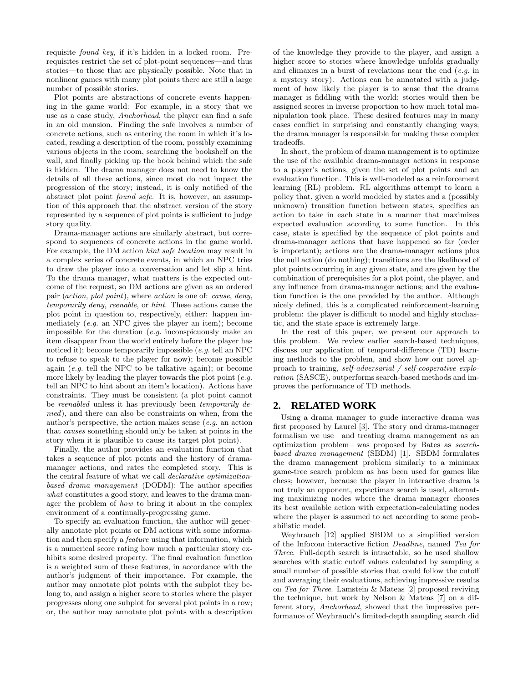requisite found key, if it's hidden in a locked room. Prerequisites restrict the set of plot-point sequences—and thus stories—to those that are physically possible. Note that in nonlinear games with many plot points there are still a large number of possible stories.

Plot points are abstractions of concrete events happening in the game world: For example, in a story that we use as a case study, Anchorhead, the player can find a safe in an old mansion. Finding the safe involves a number of concrete actions, such as entering the room in which it's located, reading a description of the room, possibly examining various objects in the room, searching the bookshelf on the wall, and finally picking up the book behind which the safe is hidden. The drama manager does not need to know the details of all these actions, since most do not impact the progression of the story; instead, it is only notified of the abstract plot point found safe. It is, however, an assumption of this approach that the abstract version of the story represented by a sequence of plot points is sufficient to judge story quality.

Drama-manager actions are similarly abstract, but correspond to sequences of concrete actions in the game world. For example, the DM action hint safe location may result in a complex series of concrete events, in which an NPC tries to draw the player into a conversation and let slip a hint. To the drama manager, what matters is the expected outcome of the request, so DM actions are given as an ordered pair (action, plot point), where action is one of: cause, deny, temporarily deny, reenable, or hint. These actions cause the plot point in question to, respectively, either: happen immediately (e.g. an NPC gives the player an item); become impossible for the duration  $(e.g.$  inconspicuously make an item disappear from the world entirely before the player has noticed it); become temporarily impossible (e.g. tell an NPC to refuse to speak to the player for now); become possible again (e.g. tell the NPC to be talkative again); or become more likely by leading the player towards the plot point  $(e.g.,\)$ tell an NPC to hint about an item's location). Actions have constraints. They must be consistent (a plot point cannot be reenabled unless it has previously been temporarily denied), and there can also be constraints on when, from the author's perspective, the action makes sense (e.g. an action that causes something should only be taken at points in the story when it is plausible to cause its target plot point).

Finally, the author provides an evaluation function that takes a sequence of plot points and the history of dramamanager actions, and rates the completed story. This is the central feature of what we call declarative optimizationbased drama management (DODM): The author specifies what constitutes a good story, and leaves to the drama manager the problem of how to bring it about in the complex environment of a continually-progressing game.

To specify an evaluation function, the author will generally annotate plot points or DM actions with some information and then specify a feature using that information, which is a numerical score rating how much a particular story exhibits some desired property. The final evaluation function is a weighted sum of these features, in accordance with the author's judgment of their importance. For example, the author may annotate plot points with the subplot they belong to, and assign a higher score to stories where the player progresses along one subplot for several plot points in a row; or, the author may annotate plot points with a description of the knowledge they provide to the player, and assign a higher score to stories where knowledge unfolds gradually and climaxes in a burst of revelations near the end (e.g. in a mystery story). Actions can be annotated with a judgment of how likely the player is to sense that the drama manager is fiddling with the world; stories would then be assigned scores in inverse proportion to how much total manipulation took place. These desired features may in many cases conflict in surprising and constantly changing ways; the drama manager is responsible for making these complex tradeoffs.

In short, the problem of drama management is to optimize the use of the available drama-manager actions in response to a player's actions, given the set of plot points and an evaluation function. This is well-modeled as a reinforcement learning (RL) problem. RL algorithms attempt to learn a policy that, given a world modeled by states and a (possibly unknown) transition function between states, specifies an action to take in each state in a manner that maximizes expected evaluation according to some function. In this case, state is specified by the sequence of plot points and drama-manager actions that have happened so far (order is important); actions are the drama-manager actions plus the null action (do nothing); transitions are the likelihood of plot points occurring in any given state, and are given by the combination of prerequisites for a plot point, the player, and any influence from drama-manager actions; and the evaluation function is the one provided by the author. Although nicely defined, this is a complicated reinforcement-learning problem: the player is difficult to model and highly stochastic, and the state space is extremely large.

In the rest of this paper, we present our approach to this problem. We review earlier search-based techniques, discuss our application of temporal-difference (TD) learning methods to the problem, and show how our novel approach to training, self-adversarial / self-cooperative exploration (SASCE), outperforms search-based methods and improves the performance of TD methods.

# **2. RELATED WORK**

Using a drama manager to guide interactive drama was first proposed by Laurel [3]. The story and drama-manager formalism we use—and treating drama management as an optimization problem—was proposed by Bates as searchbased drama management (SBDM) [1]. SBDM formulates the drama management problem similarly to a minimax game-tree search problem as has been used for games like chess; however, because the player in interactive drama is not truly an opponent, expectimax search is used, alternating maximizing nodes where the drama manager chooses its best available action with expectation-calculating nodes where the player is assumed to act according to some probabilistic model.

Weyhrauch [12] applied SBDM to a simplified version of the Infocom interactive fiction Deadline, named Tea for Three. Full-depth search is intractable, so he used shallow searches with static cutoff values calculated by sampling a small number of possible stories that could follow the cutoff and averaging their evaluations, achieving impressive results on Tea for Three. Lamstein & Mateas [2] proposed reviving the technique, but work by Nelson & Mateas [7] on a different story, Anchorhead, showed that the impressive performance of Weyhrauch's limited-depth sampling search did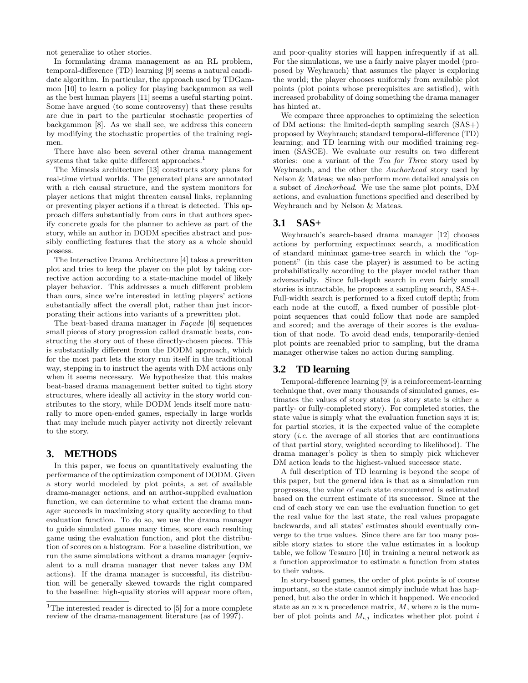not generalize to other stories.

In formulating drama management as an RL problem, temporal-difference (TD) learning [9] seems a natural candidate algorithm. In particular, the approach used by TDGammon [10] to learn a policy for playing backgammon as well as the best human players [11] seems a useful starting point. Some have argued (to some controversy) that these results are due in part to the particular stochastic properties of backgammon [8]. As we shall see, we address this concern by modifying the stochastic properties of the training regimen.

There have also been several other drama management systems that take quite different approaches.<sup>1</sup>

The Mimesis architecture [13] constructs story plans for real-time virtual worlds. The generated plans are annotated with a rich causal structure, and the system monitors for player actions that might threaten causal links, replanning or preventing player actions if a threat is detected. This approach differs substantially from ours in that authors specify concrete goals for the planner to achieve as part of the story, while an author in DODM specifies abstract and possibly conflicting features that the story as a whole should possess.

The Interactive Drama Architecture [4] takes a prewritten plot and tries to keep the player on the plot by taking corrective action according to a state-machine model of likely player behavior. This addresses a much different problem than ours, since we're interested in letting players' actions substantially affect the overall plot, rather than just incorporating their actions into variants of a prewritten plot.

The beat-based drama manager in  $Facade$  [6] sequences small pieces of story progression called dramatic beats, constructing the story out of these directly-chosen pieces. This is substantially different from the DODM approach, which for the most part lets the story run itself in the traditional way, stepping in to instruct the agents with DM actions only when it seems necessary. We hypothesize that this makes beat-based drama management better suited to tight story structures, where ideally all activity in the story world constributes to the story, while DODM lends itself more naturally to more open-ended games, especially in large worlds that may include much player activity not directly relevant to the story.

#### **3. METHODS**

In this paper, we focus on quantitatively evaluating the performance of the optimization component of DODM. Given a story world modeled by plot points, a set of available drama-manager actions, and an author-supplied evaluation function, we can determine to what extent the drama manager succeeds in maximizing story quality according to that evaluation function. To do so, we use the drama manager to guide simulated games many times, score each resulting game using the evaluation function, and plot the distribution of scores on a histogram. For a baseline distribution, we run the same simulations without a drama manager (equivalent to a null drama manager that never takes any DM actions). If the drama manager is successful, its distribution will be generally skewed towards the right compared to the baseline: high-quality stories will appear more often,

and poor-quality stories will happen infrequently if at all. For the simulations, we use a fairly naive player model (proposed by Weyhrauch) that assumes the player is exploring the world; the player chooses uniformly from available plot points (plot points whose prerequisites are satisfied), with increased probability of doing something the drama manager has hinted at.

We compare three approaches to optimizing the selection of DM actions: the limited-depth sampling search (SAS+) proposed by Weyhrauch; standard temporal-difference (TD) learning; and TD learning with our modified training regimen (SASCE). We evaluate our results on two different stories: one a variant of the Tea for Three story used by Weyhrauch, and the other the Anchorhead story used by Nelson & Mateas; we also perform more detailed analysis on a subset of Anchorhead. We use the same plot points, DM actions, and evaluation functions specified and described by Weyhrauch and by Nelson & Mateas.

#### **3.1 SAS+**

Weyhrauch's search-based drama manager [12] chooses actions by performing expectimax search, a modification of standard minimax game-tree search in which the "opponent" (in this case the player) is assumed to be acting probabilistically according to the player model rather than adversarially. Since full-depth search in even fairly small stories is intractable, he proposes a sampling search, SAS+. Full-width search is performed to a fixed cutoff depth; from each node at the cutoff, a fixed number of possible plotpoint sequences that could follow that node are sampled and scored; and the average of their scores is the evaluation of that node. To avoid dead ends, temporarily-denied plot points are reenabled prior to sampling, but the drama manager otherwise takes no action during sampling.

## **3.2 TD learning**

Temporal-difference learning [9] is a reinforcement-learning technique that, over many thousands of simulated games, estimates the values of story states (a story state is either a partly- or fully-completed story). For completed stories, the state value is simply what the evaluation function says it is; for partial stories, it is the expected value of the complete story (i.e. the average of all stories that are continuations of that partial story, weighted according to likelihood). The drama manager's policy is then to simply pick whichever DM action leads to the highest-valued successor state.

A full description of TD learning is beyond the scope of this paper, but the general idea is that as a simulation run progresses, the value of each state encountered is estimated based on the current estimate of its successor. Since at the end of each story we can use the evaluation function to get the real value for the last state, the real values propagate backwards, and all states' estimates should eventually converge to the true values. Since there are far too many possible story states to store the value estimates in a lookup table, we follow Tesauro [10] in training a neural network as a function approximator to estimate a function from states to their values.

In story-based games, the order of plot points is of course important, so the state cannot simply include what has happened, but also the order in which it happened. We encoded state as an  $n \times n$  precedence matrix, M, where n is the number of plot points and  $M_{i,j}$  indicates whether plot point i

<sup>&</sup>lt;sup>1</sup>The interested reader is directed to  $[5]$  for a more complete review of the drama-management literature (as of 1997).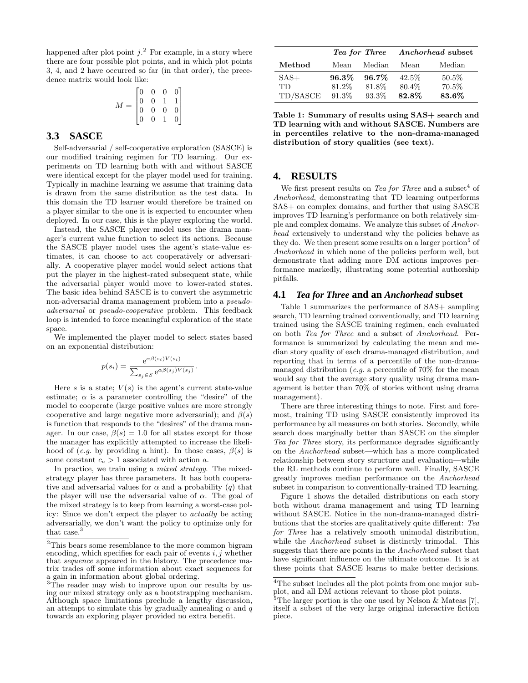happened after plot point  $j^2$ . For example, in a story where there are four possible plot points, and in which plot points 3, 4, and 2 have occurred so far (in that order), the precedence matrix would look like:

$$
M = \begin{bmatrix} 0 & 0 & 0 & 0 \\ 0 & 0 & 1 & 1 \\ 0 & 0 & 0 & 0 \\ 0 & 0 & 1 & 0 \end{bmatrix}
$$

#### **3.3 SASCE**

Self-adversarial / self-cooperative exploration (SASCE) is our modified training regimen for TD learning. Our experiments on TD learning both with and without SASCE were identical except for the player model used for training. Typically in machine learning we assume that training data is drawn from the same distribution as the test data. In this domain the TD learner would therefore be trained on a player similar to the one it is expected to encounter when deployed. In our case, this is the player exploring the world.

Instead, the SASCE player model uses the drama manager's current value function to select its actions. Because the SASCE player model uses the agent's state-value estimates, it can choose to act cooperatively or adversarially. A cooperative player model would select actions that put the player in the highest-rated subsequent state, while the adversarial player would move to lower-rated states. The basic idea behind SASCE is to convert the asymmetric non-adversarial drama management problem into a pseudoadversarial or pseudo-cooperative problem. This feedback loop is intended to force meaningful exploration of the state space.

We implemented the player model to select states based on an exponential distribution:

$$
p(s_i) = \frac{e^{\alpha \beta(s_i)V(s_i)}}{\sum_{s_j \in S} e^{\alpha \beta(s_j)V(s_j)}}.
$$

Here s is a state;  $V(s)$  is the agent's current state-value estimate;  $\alpha$  is a parameter controlling the "desire" of the model to cooperate (large positive values are more strongly cooperative and large negative more adversarial); and  $\beta(s)$ is function that responds to the "desires" of the drama manager. In our case,  $\beta(s) = 1.0$  for all states except for those the manager has explicitly attempted to increase the likelihood of (e.g. by providing a hint). In those cases,  $\beta(s)$  is some constant  $c_a > 1$  associated with action a.

In practice, we train using a *mixed strategy*. The mixedstrategy player has three parameters. It has both cooperative and adversarial values for  $\alpha$  and a probability (q) that the player will use the adversarial value of  $\alpha$ . The goal of the mixed strategy is to keep from learning a worst-case policy: Since we don't expect the player to actually be acting adversarially, we don't want the policy to optimize only for that case.<sup>3</sup>

|          |          |        | Tea for Three Anchorhead subset |        |
|----------|----------|--------|---------------------------------|--------|
| Method   | Mean     | Median | Mean                            | Median |
| $SAS+$   | $96.3\%$ | 96.7%  | $42.5\%$                        | 50.5%  |
| TD.      | 81.2\%   | 81.8%  | 80.4\%                          | 70.5%  |
| TD/SASCE | 91.3%    | 93.3%  | 82.8%                           | 83.6%  |

Table 1: Summary of results using SAS+ search and TD learning with and without SASCE. Numbers are in percentiles relative to the non-drama-managed distribution of story qualities (see text).

#### **4. RESULTS**

We first present results on *Tea for Three* and a subset<sup>4</sup> of Anchorhead, demonstrating that TD learning outperforms SAS+ on complex domains, and further that using SASCE improves TD learning's performance on both relatively simple and complex domains. We analyze this subset of Anchorhead extensively to understand why the policies behave as they do. We then present some results on a larger portion<sup>5</sup> of Anchorhead in which none of the policies perform well, but demonstrate that adding more DM actions improves performance markedly, illustrating some potential authorship pitfalls.

#### **4.1** *Tea for Three* **and an** *Anchorhead* **subset**

Table 1 summarizes the performance of SAS+ sampling search, TD learning trained conventionally, and TD learning trained using the SASCE training regimen, each evaluated on both Tea for Three and a subset of Anchorhead. Performance is summarized by calculating the mean and median story quality of each drama-managed distribution, and reporting that in terms of a percentile of the non-dramamanaged distribution (*e.g.* a percentile of  $70\%$  for the mean would say that the average story quality using drama management is better than 70% of stories without using drama management).

There are three interesting things to note. First and foremost, training TD using SASCE consistently improved its performance by all measures on both stories. Secondly, while search does marginally better than SASCE on the simpler Tea for Three story, its performance degrades significantly on the Anchorhead subset—which has a more complicated relationship between story structure and evaluation—while the RL methods continue to perform well. Finally, SASCE greatly improves median performance on the Anchorhead subset in comparison to conventionally-trained TD learning.

Figure 1 shows the detailed distributions on each story both without drama management and using TD learning without SASCE. Notice in the non-drama-managed distributions that the stories are qualitatively quite different: Tea for Three has a relatively smooth unimodal distribution, while the Anchorhead subset is distinctly trimodal. This suggests that there are points in the Anchorhead subset that have significant influence on the ultimate outcome. It is at these points that SASCE learns to make better decisions.

<sup>2</sup>This bears some resemblance to the more common bigram encoding, which specifies for each pair of events  $i, j$  whether that sequence appeared in the history. The precedence matrix trades off some information about exact sequences for a gain in information about global ordering.

<sup>&</sup>lt;sup>3</sup>The reader may wish to improve upon our results by using our mixed strategy only as a bootstrapping mechanism. Although space limitations preclude a lengthy discussion, an attempt to simulate this by gradually annealing  $\alpha$  and q towards an exploring player provided no extra benefit.

<sup>&</sup>lt;sup>4</sup>The subset includes all the plot points from one major subplot, and all DM actions relevant to those plot points.

The larger portion is the one used by Nelson  $\&$  Mateas [7]. itself a subset of the very large original interactive fiction piece.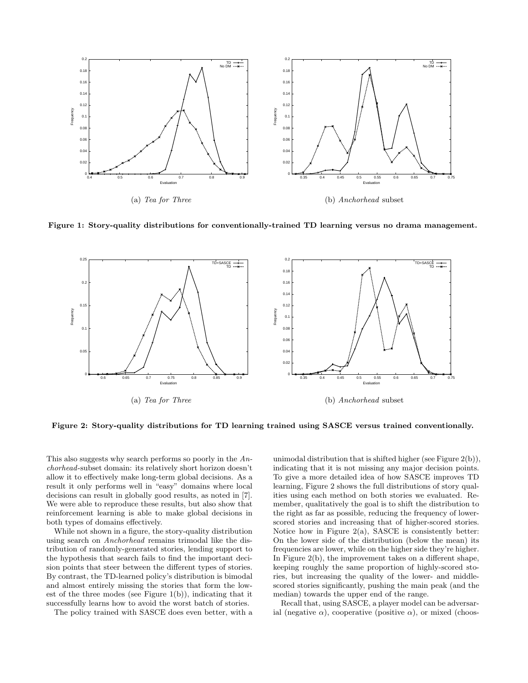

Figure 1: Story-quality distributions for conventionally-trained TD learning versus no drama management.



Figure 2: Story-quality distributions for TD learning trained using SASCE versus trained conventionally.

This also suggests why search performs so poorly in the Anchorhead-subset domain: its relatively short horizon doesn't allow it to effectively make long-term global decisions. As a result it only performs well in "easy" domains where local decisions can result in globally good results, as noted in [7]. We were able to reproduce these results, but also show that reinforcement learning is able to make global decisions in both types of domains effectively.

While not shown in a figure, the story-quality distribution using search on Anchorhead remains trimodal like the distribution of randomly-generated stories, lending support to the hypothesis that search fails to find the important decision points that steer between the different types of stories. By contrast, the TD-learned policy's distribution is bimodal and almost entirely missing the stories that form the lowest of the three modes (see Figure 1(b)), indicating that it successfully learns how to avoid the worst batch of stories.

The policy trained with SASCE does even better, with a

unimodal distribution that is shifted higher (see Figure 2(b)), indicating that it is not missing any major decision points. To give a more detailed idea of how SASCE improves TD learning, Figure 2 shows the full distributions of story qualities using each method on both stories we evaluated. Remember, qualitatively the goal is to shift the distribution to the right as far as possible, reducing the frequency of lowerscored stories and increasing that of higher-scored stories. Notice how in Figure 2(a), SASCE is consistently better: On the lower side of the distribution (below the mean) its frequencies are lower, while on the higher side they're higher. In Figure 2(b), the improvement takes on a different shape, keeping roughly the same proportion of highly-scored stories, but increasing the quality of the lower- and middlescored stories significantly, pushing the main peak (and the median) towards the upper end of the range.

Recall that, using SASCE, a player model can be adversarial (negative  $\alpha$ ), cooperative (positive  $\alpha$ ), or mixed (choos-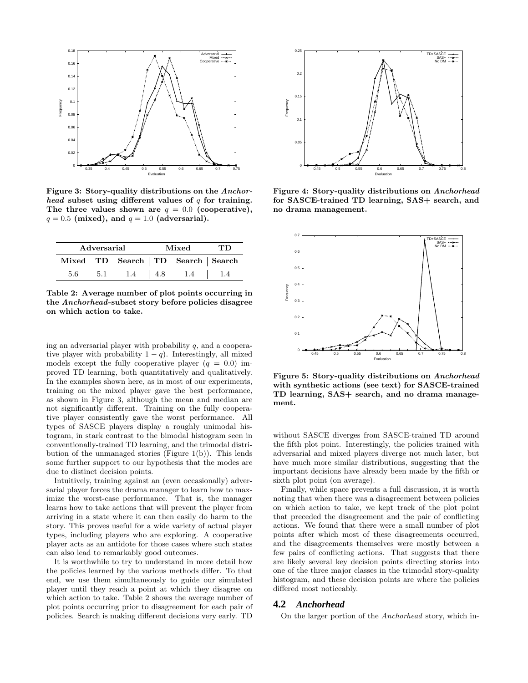

Figure 3: Story-quality distributions on the Anchorhead subset using different values of  $q$  for training. The three values shown are  $q = 0.0$  (cooperative),  $q = 0.5$  (mixed), and  $q = 1.0$  (adversarial).

| Adversarial |      |     | Mixed |                                      | נ ויו״ |
|-------------|------|-----|-------|--------------------------------------|--------|
|             |      |     |       | Mixed TD Search   TD Search   Search |        |
| 56          | -5.1 | 1.4 | 14.8  | 1.4                                  |        |

Table 2: Average number of plot points occurring in the Anchorhead-subset story before policies disagree on which action to take.

ing an adversarial player with probability  $q$ , and a cooperative player with probability  $1 - q$ ). Interestingly, all mixed models except the fully cooperative player  $(q = 0.0)$  improved TD learning, both quantitatively and qualitatively. In the examples shown here, as in most of our experiments, training on the mixed player gave the best performance, as shown in Figure 3, although the mean and median are not significantly different. Training on the fully cooperative player consistently gave the worst performance. All types of SASCE players display a roughly unimodal histogram, in stark contrast to the bimodal histogram seen in conventionally-trained TD learning, and the trimodal distribution of the unmanaged stories (Figure 1(b)). This lends some further support to our hypothesis that the modes are due to distinct decision points.

Intuitively, training against an (even occasionally) adversarial player forces the drama manager to learn how to maximize the worst-case performance. That is, the manager learns how to take actions that will prevent the player from arriving in a state where it can then easily do harm to the story. This proves useful for a wide variety of actual player types, including players who are exploring. A cooperative player acts as an antidote for those cases where such states can also lead to remarkably good outcomes.

It is worthwhile to try to understand in more detail how the policies learned by the various methods differ. To that end, we use them simultaneously to guide our simulated player until they reach a point at which they disagree on which action to take. Table 2 shows the average number of plot points occurring prior to disagreement for each pair of policies. Search is making different decisions very early. TD



Figure 4: Story-quality distributions on Anchorhead for SASCE-trained TD learning, SAS+ search, and no drama management.



Figure 5: Story-quality distributions on Anchorhead with synthetic actions (see text) for SASCE-trained TD learning, SAS+ search, and no drama management.

without SASCE diverges from SASCE-trained TD around the fifth plot point. Interestingly, the policies trained with adversarial and mixed players diverge not much later, but have much more similar distributions, suggesting that the important decisions have already been made by the fifth or sixth plot point (on average).

Finally, while space prevents a full discussion, it is worth noting that when there was a disagreement between policies on which action to take, we kept track of the plot point that preceded the disagreement and the pair of conflicting actions. We found that there were a small number of plot points after which most of these disagreements occurred, and the disagreements themselves were mostly between a few pairs of conflicting actions. That suggests that there are likely several key decision points directing stories into one of the three major classes in the trimodal story-quality histogram, and these decision points are where the policies differed most noticeably.

#### **4.2** *Anchorhead*

On the larger portion of the Anchorhead story, which in-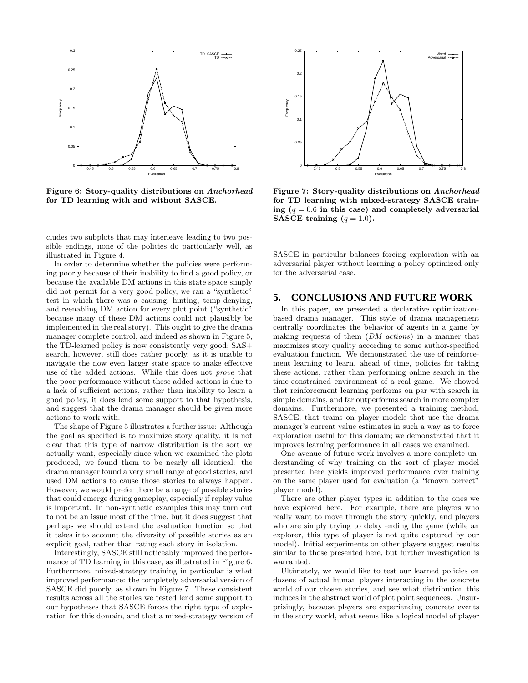

Figure 6: Story-quality distributions on Anchorhead for TD learning with and without SASCE.

cludes two subplots that may interleave leading to two possible endings, none of the policies do particularly well, as illustrated in Figure 4.

In order to determine whether the policies were performing poorly because of their inability to find a good policy, or because the available DM actions in this state space simply did not permit for a very good policy, we ran a "synthetic" test in which there was a causing, hinting, temp-denying, and reenabling DM action for every plot point ("synthetic" because many of these DM actions could not plausibly be implemented in the real story). This ought to give the drama manager complete control, and indeed as shown in Figure 5, the TD-learned policy is now consistently very good; SAS+ search, however, still does rather poorly, as it is unable to navigate the now even larger state space to make effective use of the added actions. While this does not prove that the poor performance without these added actions is due to a lack of sufficient actions, rather than inability to learn a good policy, it does lend some support to that hypothesis, and suggest that the drama manager should be given more actions to work with.

The shape of Figure 5 illustrates a further issue: Although the goal as specified is to maximize story quality, it is not clear that this type of narrow distribution is the sort we actually want, especially since when we examined the plots produced, we found them to be nearly all identical: the drama manager found a very small range of good stories, and used DM actions to cause those stories to always happen. However, we would prefer there be a range of possible stories that could emerge during gameplay, especially if replay value is important. In non-synthetic examples this may turn out to not be an issue most of the time, but it does suggest that perhaps we should extend the evaluation function so that it takes into account the diversity of possible stories as an explicit goal, rather than rating each story in isolation.

Interestingly, SASCE still noticeably improved the performance of TD learning in this case, as illustrated in Figure 6. Furthermore, mixed-strategy training in particular is what improved performance: the completely adversarial version of SASCE did poorly, as shown in Figure 7. These consistent results across all the stories we tested lend some support to our hypotheses that SASCE forces the right type of exploration for this domain, and that a mixed-strategy version of



Figure 7: Story-quality distributions on Anchorhead for TD learning with mixed-strategy SASCE training  $(q = 0.6$  in this case) and completely adversarial SASCE training  $(q = 1.0)$ .

SASCE in particular balances forcing exploration with an adversarial player without learning a policy optimized only for the adversarial case.

#### **5. CONCLUSIONS AND FUTURE WORK**

In this paper, we presented a declarative optimizationbased drama manager. This style of drama management centrally coordinates the behavior of agents in a game by making requests of them (DM actions) in a manner that maximizes story quality according to some author-specified evaluation function. We demonstrated the use of reinforcement learning to learn, ahead of time, policies for taking these actions, rather than performing online search in the time-constrained environment of a real game. We showed that reinforcement learning performs on par with search in simple domains, and far outperforms search in more complex domains. Furthermore, we presented a training method, SASCE, that trains on player models that use the drama manager's current value estimates in such a way as to force exploration useful for this domain; we demonstrated that it improves learning performance in all cases we examined.

One avenue of future work involves a more complete understanding of why training on the sort of player model presented here yields improved performance over training on the same player used for evaluation (a "known correct" player model).

There are other player types in addition to the ones we have explored here. For example, there are players who really want to move through the story quickly, and players who are simply trying to delay ending the game (while an explorer, this type of player is not quite captured by our model). Initial experiments on other players suggest results similar to those presented here, but further investigation is warranted.

Ultimately, we would like to test our learned policies on dozens of actual human players interacting in the concrete world of our chosen stories, and see what distribution this induces in the abstract world of plot point sequences. Unsurprisingly, because players are experiencing concrete events in the story world, what seems like a logical model of player